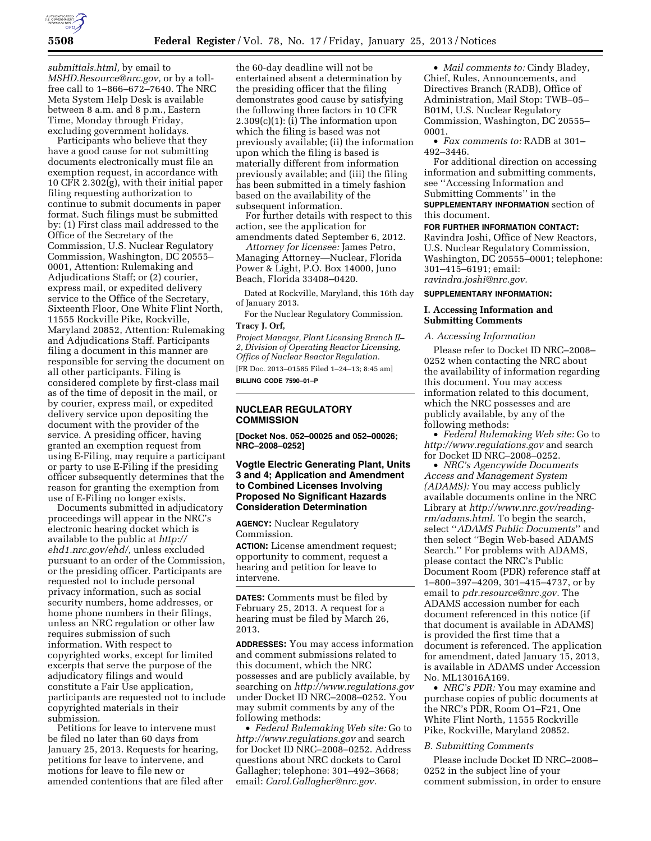

*[submittals.html,](http://www.nrc.gov/site-help/e-submittals.html)* by email to *[MSHD.Resource@nrc.gov,](mailto:MSHD.Resource@nrc.gov)* or by a tollfree call to 1–866–672–7640. The NRC Meta System Help Desk is available between 8 a.m. and 8 p.m., Eastern Time, Monday through Friday, excluding government holidays.

Participants who believe that they have a good cause for not submitting documents electronically must file an exemption request, in accordance with 10 CFR 2.302(g), with their initial paper filing requesting authorization to continue to submit documents in paper format. Such filings must be submitted by: (1) First class mail addressed to the Office of the Secretary of the Commission, U.S. Nuclear Regulatory Commission, Washington, DC 20555– 0001, Attention: Rulemaking and Adjudications Staff; or (2) courier, express mail, or expedited delivery service to the Office of the Secretary, Sixteenth Floor, One White Flint North, 11555 Rockville Pike, Rockville, Maryland 20852, Attention: Rulemaking and Adjudications Staff. Participants filing a document in this manner are responsible for serving the document on all other participants. Filing is considered complete by first-class mail as of the time of deposit in the mail, or by courier, express mail, or expedited delivery service upon depositing the document with the provider of the service. A presiding officer, having granted an exemption request from using E-Filing, may require a participant or party to use E-Filing if the presiding officer subsequently determines that the reason for granting the exemption from use of E-Filing no longer exists.

Documents submitted in adjudicatory proceedings will appear in the NRC's electronic hearing docket which is available to the public at *[http://](http://ehd1.nrc.gov/ehd/)  [ehd1.nrc.gov/ehd/,](http://ehd1.nrc.gov/ehd/)* unless excluded pursuant to an order of the Commission, or the presiding officer. Participants are requested not to include personal privacy information, such as social security numbers, home addresses, or home phone numbers in their filings, unless an NRC regulation or other law requires submission of such information. With respect to copyrighted works, except for limited excerpts that serve the purpose of the adjudicatory filings and would constitute a Fair Use application, participants are requested not to include copyrighted materials in their submission.

Petitions for leave to intervene must be filed no later than 60 days from January 25, 2013. Requests for hearing, petitions for leave to intervene, and motions for leave to file new or amended contentions that are filed after

the 60-day deadline will not be entertained absent a determination by the presiding officer that the filing demonstrates good cause by satisfying the following three factors in 10 CFR  $2.309(c)(1)$ : (i) The information upon which the filing is based was not previously available; (ii) the information upon which the filing is based is materially different from information previously available; and (iii) the filing has been submitted in a timely fashion based on the availability of the subsequent information.

For further details with respect to this action, see the application for amendments dated September 6, 2012.

*Attorney for licensee:* James Petro, Managing Attorney—Nuclear, Florida Power & Light, P.O. Box 14000, Juno Beach, Florida 33408–0420.

Dated at Rockville, Maryland, this 16th day of January 2013.

For the Nuclear Regulatory Commission. **Tracy J. Orf,** 

*Project Manager, Plant Licensing Branch II– 2, Division of Operating Reactor Licensing, Office of Nuclear Reactor Regulation.*  [FR Doc. 2013–01585 Filed 1–24–13; 8:45 am]

**BILLING CODE 7590–01–P** 

# **NUCLEAR REGULATORY COMMISSION**

**[Docket Nos. 052–00025 and 052–00026; NRC–2008–0252]** 

# **Vogtle Electric Generating Plant, Units 3 and 4; Application and Amendment to Combined Licenses Involving Proposed No Significant Hazards Consideration Determination**

**AGENCY:** Nuclear Regulatory Commission.

**ACTION:** License amendment request; opportunity to comment, request a hearing and petition for leave to intervene.

**DATES:** Comments must be filed by February 25, 2013. A request for a hearing must be filed by March 26, 2013.

**ADDRESSES:** You may access information and comment submissions related to this document, which the NRC possesses and are publicly available, by searching on *<http://www.regulations.gov>*  under Docket ID NRC–2008–0252. You may submit comments by any of the following methods:

• *Federal Rulemaking Web site:* Go to *<http://www.regulations.gov>* and search for Docket ID NRC–2008–0252. Address questions about NRC dockets to Carol Gallagher; telephone: 301–492–3668; email: *[Carol.Gallagher@nrc.gov.](mailto:Carol.Gallagher@nrc.gov)* 

• *Mail comments to:* Cindy Bladey, Chief, Rules, Announcements, and Directives Branch (RADB), Office of Administration, Mail Stop: TWB–05– B01M, U.S. Nuclear Regulatory Commission, Washington, DC 20555– 0001.

• *Fax comments to:* RADB at 301– 492–3446.

For additional direction on accessing information and submitting comments, see ''Accessing Information and Submitting Comments'' in the

**SUPPLEMENTARY INFORMATION** section of this document.

**FOR FURTHER INFORMATION CONTACT:**  Ravindra Joshi, Office of New Reactors, U.S. Nuclear Regulatory Commission, Washington, DC 20555–0001; telephone: 301–415–6191; email: *[ravindra.joshi@nrc.gov.](mailto:ravindra.joshi@nrc.gov)* 

#### **SUPPLEMENTARY INFORMATION:**

## **I. Accessing Information and Submitting Comments**

#### *A. Accessing Information*

Please refer to Docket ID NRC–2008– 0252 when contacting the NRC about the availability of information regarding this document. You may access information related to this document, which the NRC possesses and are publicly available, by any of the following methods:

• *Federal Rulemaking Web site:* Go to *<http://www.regulations.gov>* and search for Docket ID NRC–2008–0252.

• *NRC's Agencywide Documents Access and Management System (ADAMS):* You may access publicly available documents online in the NRC Library at *[http://www.nrc.gov/reading](http://www.nrc.gov/reading-rm/adams.html)[rm/adams.html.](http://www.nrc.gov/reading-rm/adams.html)* To begin the search, select ''*ADAMS Public Documents*'' and then select ''Begin Web-based ADAMS Search.'' For problems with ADAMS, please contact the NRC's Public Document Room (PDR) reference staff at 1–800–397–4209, 301–415–4737, or by email to *[pdr.resource@nrc.gov.](mailto:pdr.resource@nrc.gov)* The ADAMS accession number for each document referenced in this notice (if that document is available in ADAMS) is provided the first time that a document is referenced. The application for amendment, dated January 15, 2013, is available in ADAMS under Accession No. ML13016A169.

• *NRC's PDR:* You may examine and purchase copies of public documents at the NRC's PDR, Room O1–F21, One White Flint North, 11555 Rockville Pike, Rockville, Maryland 20852.

### *B. Submitting Comments*

Please include Docket ID NRC–2008– 0252 in the subject line of your comment submission, in order to ensure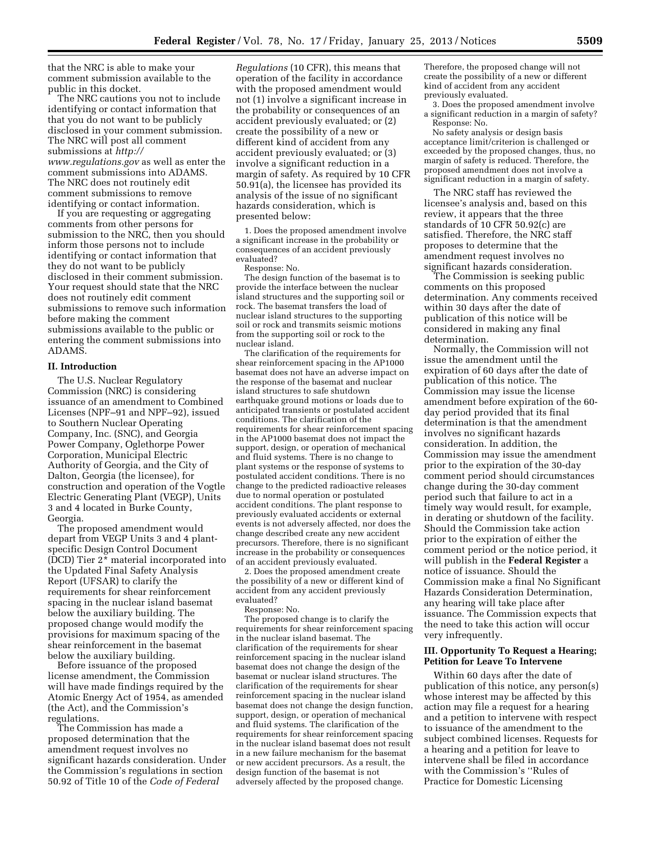that the NRC is able to make your comment submission available to the public in this docket.

The NRC cautions you not to include identifying or contact information that that you do not want to be publicly disclosed in your comment submission. The NRC will post all comment submissions at *[http://](http://www.regulations.gov)  [www.regulations.gov](http://www.regulations.gov)* as well as enter the comment submissions into ADAMS. The NRC does not routinely edit comment submissions to remove identifying or contact information.

If you are requesting or aggregating comments from other persons for submission to the NRC, then you should inform those persons not to include identifying or contact information that they do not want to be publicly disclosed in their comment submission. Your request should state that the NRC does not routinely edit comment submissions to remove such information before making the comment submissions available to the public or entering the comment submissions into ADAMS.

## **II. Introduction**

The U.S. Nuclear Regulatory Commission (NRC) is considering issuance of an amendment to Combined Licenses (NPF–91 and NPF–92), issued to Southern Nuclear Operating Company, Inc. (SNC), and Georgia Power Company, Oglethorpe Power Corporation, Municipal Electric Authority of Georgia, and the City of Dalton, Georgia (the licensee), for construction and operation of the Vogtle Electric Generating Plant (VEGP), Units 3 and 4 located in Burke County, Georgia.

The proposed amendment would depart from VEGP Units 3 and 4 plantspecific Design Control Document (DCD) Tier 2\* material incorporated into the Updated Final Safety Analysis Report (UFSAR) to clarify the requirements for shear reinforcement spacing in the nuclear island basemat below the auxiliary building. The proposed change would modify the provisions for maximum spacing of the shear reinforcement in the basemat below the auxiliary building.

Before issuance of the proposed license amendment, the Commission will have made findings required by the Atomic Energy Act of 1954, as amended (the Act), and the Commission's regulations.

The Commission has made a proposed determination that the amendment request involves no significant hazards consideration. Under the Commission's regulations in section 50.92 of Title 10 of the *Code of Federal* 

*Regulations* (10 CFR), this means that operation of the facility in accordance with the proposed amendment would not (1) involve a significant increase in the probability or consequences of an accident previously evaluated; or (2) create the possibility of a new or different kind of accident from any accident previously evaluated; or (3) involve a significant reduction in a margin of safety. As required by 10 CFR 50.91(a), the licensee has provided its analysis of the issue of no significant hazards consideration, which is presented below:

1. Does the proposed amendment involve a significant increase in the probability or consequences of an accident previously evaluated?

Response: No.

The design function of the basemat is to provide the interface between the nuclear island structures and the supporting soil or rock. The basemat transfers the load of nuclear island structures to the supporting soil or rock and transmits seismic motions from the supporting soil or rock to the nuclear island.

The clarification of the requirements for shear reinforcement spacing in the AP1000 basemat does not have an adverse impact on the response of the basemat and nuclear island structures to safe shutdown earthquake ground motions or loads due to anticipated transients or postulated accident conditions. The clarification of the requirements for shear reinforcement spacing in the AP1000 basemat does not impact the support, design, or operation of mechanical and fluid systems. There is no change to plant systems or the response of systems to postulated accident conditions. There is no change to the predicted radioactive releases due to normal operation or postulated accident conditions. The plant response to previously evaluated accidents or external events is not adversely affected, nor does the change described create any new accident precursors. Therefore, there is no significant increase in the probability or consequences of an accident previously evaluated.

2. Does the proposed amendment create the possibility of a new or different kind of accident from any accident previously evaluated?

Response: No.

The proposed change is to clarify the requirements for shear reinforcement spacing in the nuclear island basemat. The clarification of the requirements for shear reinforcement spacing in the nuclear island basemat does not change the design of the basemat or nuclear island structures. The clarification of the requirements for shear reinforcement spacing in the nuclear island basemat does not change the design function, support, design, or operation of mechanical and fluid systems. The clarification of the requirements for shear reinforcement spacing in the nuclear island basemat does not result in a new failure mechanism for the basemat or new accident precursors. As a result, the design function of the basemat is not adversely affected by the proposed change.

Therefore, the proposed change will not create the possibility of a new or different kind of accident from any accident previously evaluated.

3. Does the proposed amendment involve a significant reduction in a margin of safety? Response: No.

No safety analysis or design basis acceptance limit/criterion is challenged or exceeded by the proposed changes, thus, no margin of safety is reduced. Therefore, the proposed amendment does not involve a significant reduction in a margin of safety.

The NRC staff has reviewed the licensee's analysis and, based on this review, it appears that the three standards of 10 CFR 50.92(c) are satisfied. Therefore, the NRC staff proposes to determine that the amendment request involves no significant hazards consideration.

The Commission is seeking public comments on this proposed determination. Any comments received within 30 days after the date of publication of this notice will be considered in making any final determination.

Normally, the Commission will not issue the amendment until the expiration of 60 days after the date of publication of this notice. The Commission may issue the license amendment before expiration of the 60 day period provided that its final determination is that the amendment involves no significant hazards consideration. In addition, the Commission may issue the amendment prior to the expiration of the 30-day comment period should circumstances change during the 30-day comment period such that failure to act in a timely way would result, for example, in derating or shutdown of the facility. Should the Commission take action prior to the expiration of either the comment period or the notice period, it will publish in the **Federal Register** a notice of issuance. Should the Commission make a final No Significant Hazards Consideration Determination, any hearing will take place after issuance. The Commission expects that the need to take this action will occur very infrequently.

## **III. Opportunity To Request a Hearing; Petition for Leave To Intervene**

Within 60 days after the date of publication of this notice, any person(s) whose interest may be affected by this action may file a request for a hearing and a petition to intervene with respect to issuance of the amendment to the subject combined licenses. Requests for a hearing and a petition for leave to intervene shall be filed in accordance with the Commission's ''Rules of Practice for Domestic Licensing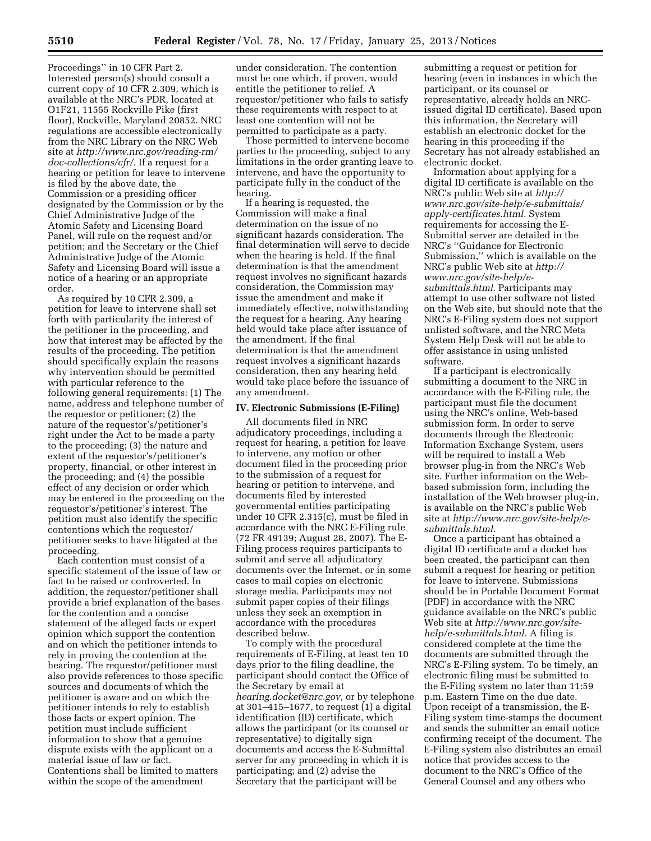Proceedings'' in 10 CFR Part 2. Interested person(s) should consult a current copy of 10 CFR 2.309, which is available at the NRC's PDR, located at O1F21, 11555 Rockville Pike (first floor), Rockville, Maryland 20852. NRC regulations are accessible electronically from the NRC Library on the NRC Web site at *[http://www.nrc.gov/reading-rm/](http://www.nrc.gov/reading-rm/doc-collections/cfr/) [doc-collections/cfr/.](http://www.nrc.gov/reading-rm/doc-collections/cfr/)* If a request for a hearing or petition for leave to intervene is filed by the above date, the Commission or a presiding officer designated by the Commission or by the Chief Administrative Judge of the Atomic Safety and Licensing Board Panel, will rule on the request and/or petition; and the Secretary or the Chief Administrative Judge of the Atomic Safety and Licensing Board will issue a notice of a hearing or an appropriate order.

As required by 10 CFR 2.309, a petition for leave to intervene shall set forth with particularity the interest of the petitioner in the proceeding, and how that interest may be affected by the results of the proceeding. The petition should specifically explain the reasons why intervention should be permitted with particular reference to the following general requirements: (1) The name, address and telephone number of the requestor or petitioner; (2) the nature of the requestor's/petitioner's right under the Act to be made a party to the proceeding; (3) the nature and extent of the requestor's/petitioner's property, financial, or other interest in the proceeding; and (4) the possible effect of any decision or order which may be entered in the proceeding on the requestor's/petitioner's interest. The petition must also identify the specific contentions which the requestor/ petitioner seeks to have litigated at the proceeding.

Each contention must consist of a specific statement of the issue of law or fact to be raised or controverted. In addition, the requestor/petitioner shall provide a brief explanation of the bases for the contention and a concise statement of the alleged facts or expert opinion which support the contention and on which the petitioner intends to rely in proving the contention at the hearing. The requestor/petitioner must also provide references to those specific sources and documents of which the petitioner is aware and on which the petitioner intends to rely to establish those facts or expert opinion. The petition must include sufficient information to show that a genuine dispute exists with the applicant on a material issue of law or fact. Contentions shall be limited to matters within the scope of the amendment

under consideration. The contention must be one which, if proven, would entitle the petitioner to relief. A requestor/petitioner who fails to satisfy these requirements with respect to at least one contention will not be permitted to participate as a party.

Those permitted to intervene become parties to the proceeding, subject to any limitations in the order granting leave to intervene, and have the opportunity to participate fully in the conduct of the hearing.

If a hearing is requested, the Commission will make a final determination on the issue of no significant hazards consideration. The final determination will serve to decide when the hearing is held. If the final determination is that the amendment request involves no significant hazards consideration, the Commission may issue the amendment and make it immediately effective, notwithstanding the request for a hearing. Any hearing held would take place after issuance of the amendment. If the final determination is that the amendment request involves a significant hazards consideration, then any hearing held would take place before the issuance of any amendment.

### **IV. Electronic Submissions (E-Filing)**

All documents filed in NRC adjudicatory proceedings, including a request for hearing, a petition for leave to intervene, any motion or other document filed in the proceeding prior to the submission of a request for hearing or petition to intervene, and documents filed by interested governmental entities participating under 10 CFR 2.315(c), must be filed in accordance with the NRC E-Filing rule (72 FR 49139; August 28, 2007). The E-Filing process requires participants to submit and serve all adjudicatory documents over the Internet, or in some cases to mail copies on electronic storage media. Participants may not submit paper copies of their filings unless they seek an exemption in accordance with the procedures described below.

To comply with the procedural requirements of E-Filing, at least ten 10 days prior to the filing deadline, the participant should contact the Office of the Secretary by email at *[hearing.docket@nrc.gov,](mailto:hearing.docket@nrc.gov)* or by telephone at 301–415–1677, to request (1) a digital identification (ID) certificate, which allows the participant (or its counsel or representative) to digitally sign documents and access the E-Submittal server for any proceeding in which it is participating; and (2) advise the Secretary that the participant will be

submitting a request or petition for hearing (even in instances in which the participant, or its counsel or representative, already holds an NRCissued digital ID certificate). Based upon this information, the Secretary will establish an electronic docket for the hearing in this proceeding if the Secretary has not already established an electronic docket.

Information about applying for a digital ID certificate is available on the NRC's public Web site at *[http://](http://www.nrc.gov/site-help/e-submittals/apply-certificates.html) [www.nrc.gov/site-help/e-submittals/](http://www.nrc.gov/site-help/e-submittals/apply-certificates.html) [apply-certificates.html.](http://www.nrc.gov/site-help/e-submittals/apply-certificates.html)* System requirements for accessing the E-Submittal server are detailed in the NRC's ''Guidance for Electronic Submission,'' which is available on the NRC's public Web site at *[http://](http://www.nrc.gov/site-help/e-submittals.html) [www.nrc.gov/site-help/e](http://www.nrc.gov/site-help/e-submittals.html)[submittals.html.](http://www.nrc.gov/site-help/e-submittals.html)* Participants may attempt to use other software not listed on the Web site, but should note that the NRC's E-Filing system does not support unlisted software, and the NRC Meta System Help Desk will not be able to offer assistance in using unlisted software.

If a participant is electronically submitting a document to the NRC in accordance with the E-Filing rule, the participant must file the document using the NRC's online, Web-based submission form. In order to serve documents through the Electronic Information Exchange System, users will be required to install a Web browser plug-in from the NRC's Web site. Further information on the Webbased submission form, including the installation of the Web browser plug-in, is available on the NRC's public Web site at *[http://www.nrc.gov/site-help/e](http://www.nrc.gov/site-help/e-submittals.html)[submittals.html.](http://www.nrc.gov/site-help/e-submittals.html)* 

Once a participant has obtained a digital ID certificate and a docket has been created, the participant can then submit a request for hearing or petition for leave to intervene. Submissions should be in Portable Document Format (PDF) in accordance with the NRC guidance available on the NRC's public Web site at *[http://www.nrc.gov/site](http://www.nrc.gov/site-help/e-submittals.html)[help/e-submittals.html.](http://www.nrc.gov/site-help/e-submittals.html)* A filing is considered complete at the time the documents are submitted through the NRC's E-Filing system. To be timely, an electronic filing must be submitted to the E-Filing system no later than 11:59 p.m. Eastern Time on the due date. Upon receipt of a transmission, the E-Filing system time-stamps the document and sends the submitter an email notice confirming receipt of the document. The E-Filing system also distributes an email notice that provides access to the document to the NRC's Office of the General Counsel and any others who